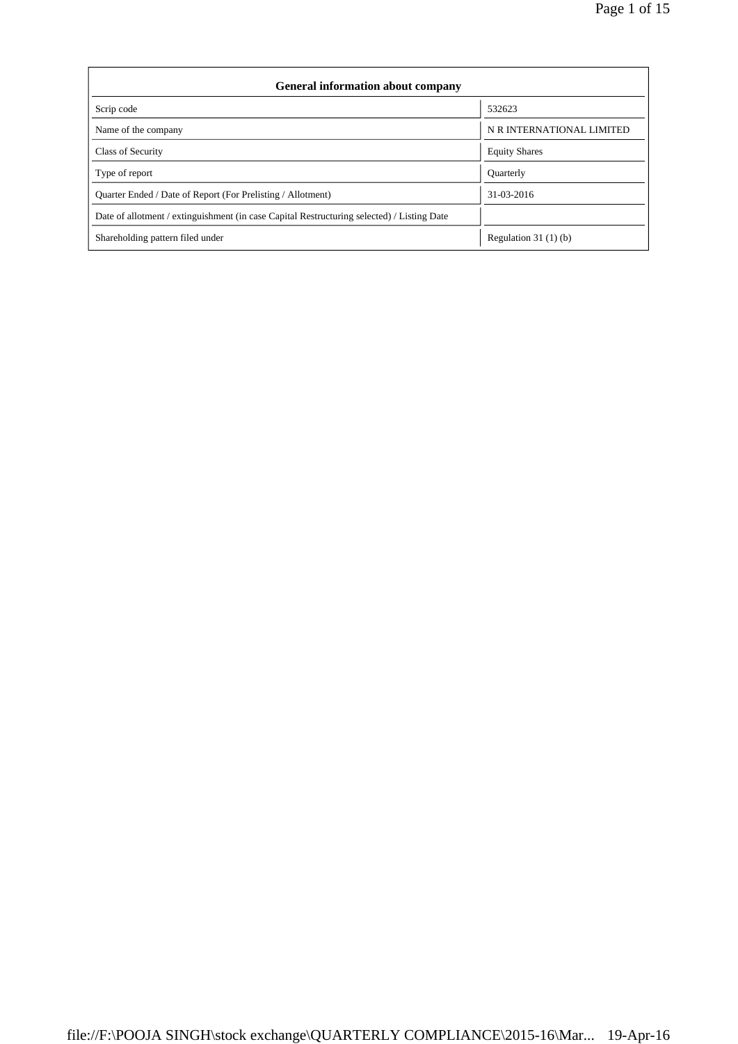| <b>General information about company</b>                                                   |                           |  |  |  |  |  |  |
|--------------------------------------------------------------------------------------------|---------------------------|--|--|--|--|--|--|
| Scrip code                                                                                 | 532623                    |  |  |  |  |  |  |
| Name of the company                                                                        | N R INTERNATIONAL LIMITED |  |  |  |  |  |  |
| Class of Security                                                                          | <b>Equity Shares</b>      |  |  |  |  |  |  |
| Type of report                                                                             | <b>Ouarterly</b>          |  |  |  |  |  |  |
| Quarter Ended / Date of Report (For Prelisting / Allotment)                                | 31-03-2016                |  |  |  |  |  |  |
| Date of allotment / extinguishment (in case Capital Restructuring selected) / Listing Date |                           |  |  |  |  |  |  |
| Shareholding pattern filed under                                                           | Regulation $31(1)(b)$     |  |  |  |  |  |  |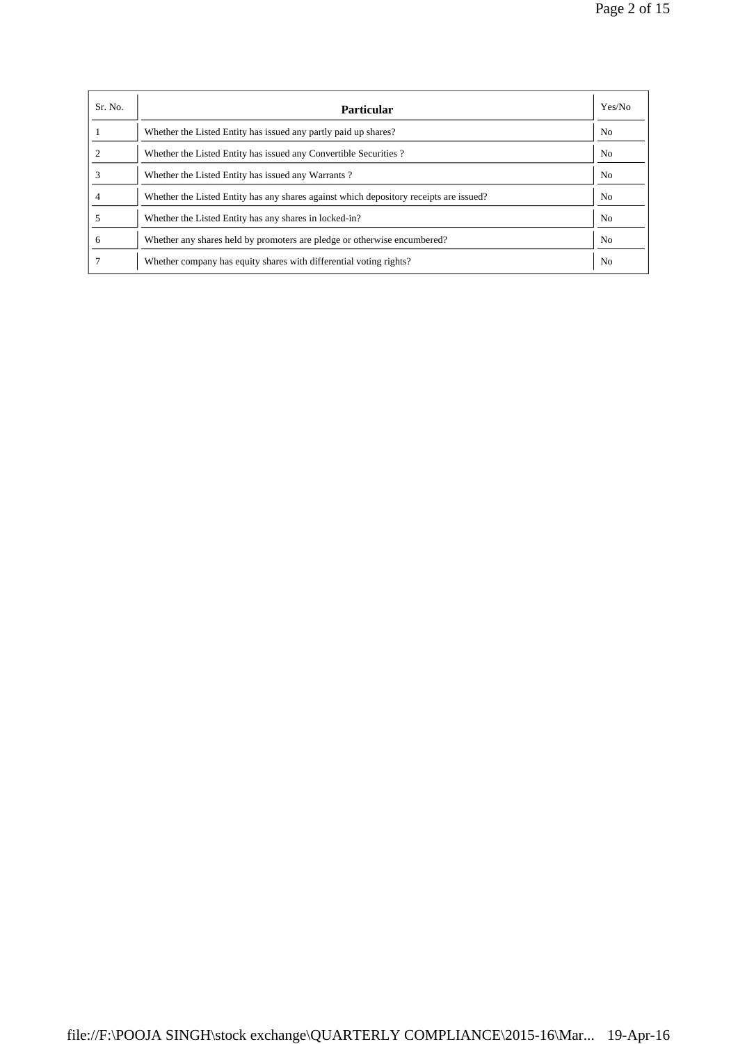| Sr. No. | <b>Particular</b>                                                                      | Yes/No         |
|---------|----------------------------------------------------------------------------------------|----------------|
|         | Whether the Listed Entity has issued any partly paid up shares?                        | N <sub>0</sub> |
|         | Whether the Listed Entity has issued any Convertible Securities?                       | N <sub>0</sub> |
|         | Whether the Listed Entity has issued any Warrants?                                     | N <sub>0</sub> |
|         | Whether the Listed Entity has any shares against which depository receipts are issued? | No.            |
|         | Whether the Listed Entity has any shares in locked-in?                                 | N <sub>0</sub> |
| 6       | Whether any shares held by promoters are pledge or otherwise encumbered?               | N <sub>0</sub> |
|         | Whether company has equity shares with differential voting rights?                     | N <sub>0</sub> |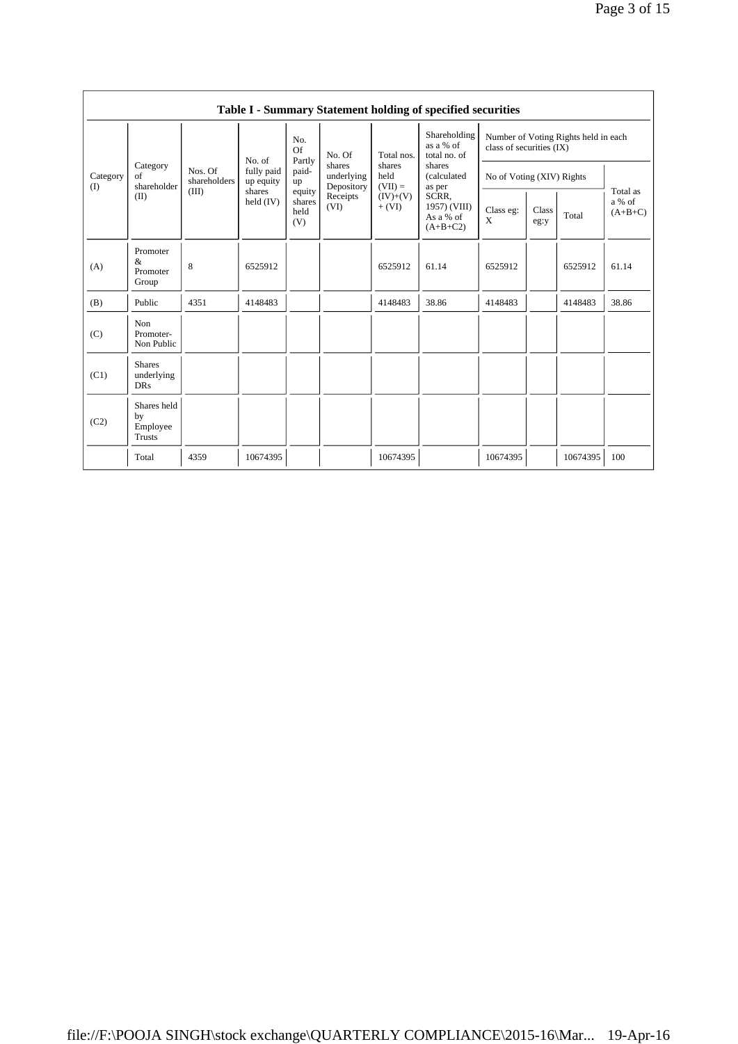|                 | Table I - Summary Statement holding of specified securities |                                  |                                                            |                                                          |                                                                  |                             |                                                                                                                                  |                                                                  |               |          |                                 |  |
|-----------------|-------------------------------------------------------------|----------------------------------|------------------------------------------------------------|----------------------------------------------------------|------------------------------------------------------------------|-----------------------------|----------------------------------------------------------------------------------------------------------------------------------|------------------------------------------------------------------|---------------|----------|---------------------------------|--|
| Category<br>(I) |                                                             | Nos. Of<br>shareholders<br>(III) | No. of<br>fully paid<br>up equity<br>shares<br>held $(IV)$ | No.<br>Of                                                | No. Of<br>shares<br>underlying<br>Depository<br>Receipts<br>(VI) | Total nos.                  | Shareholding<br>as a % of<br>total no. of<br>shares<br>(calculated<br>as per<br>SCRR,<br>1957) (VIII)<br>As a % of<br>$(A+B+C2)$ | Number of Voting Rights held in each<br>class of securities (IX) |               |          |                                 |  |
|                 | Category<br>of<br>shareholder                               |                                  |                                                            | Partly<br>paid-<br>up<br>equity<br>shares<br>held<br>(V) |                                                                  | shares<br>held<br>$(VII) =$ |                                                                                                                                  | No of Voting (XIV) Rights                                        |               |          |                                 |  |
|                 | (II)                                                        |                                  |                                                            |                                                          |                                                                  | $(IV)+(V)$<br>$+ (VI)$      |                                                                                                                                  | Class eg:<br>X                                                   | Class<br>eg:y | Total    | Total as<br>a % of<br>$(A+B+C)$ |  |
| (A)             | Promoter<br>$\&$<br>Promoter<br>Group                       | 8                                | 6525912                                                    |                                                          |                                                                  | 6525912                     | 61.14                                                                                                                            | 6525912                                                          |               | 6525912  | 61.14                           |  |
| (B)             | Public                                                      | 4351                             | 4148483                                                    |                                                          |                                                                  | 4148483                     | 38.86                                                                                                                            | 4148483                                                          |               | 4148483  | 38.86                           |  |
| (C)             | Non<br>Promoter-<br>Non Public                              |                                  |                                                            |                                                          |                                                                  |                             |                                                                                                                                  |                                                                  |               |          |                                 |  |
| (C1)            | <b>Shares</b><br>underlying<br><b>DRs</b>                   |                                  |                                                            |                                                          |                                                                  |                             |                                                                                                                                  |                                                                  |               |          |                                 |  |
| (C2)            | Shares held<br>by<br>Employee<br><b>Trusts</b>              |                                  |                                                            |                                                          |                                                                  |                             |                                                                                                                                  |                                                                  |               |          |                                 |  |
|                 | Total                                                       | 4359                             | 10674395                                                   |                                                          |                                                                  | 10674395                    |                                                                                                                                  | 10674395                                                         |               | 10674395 | 100                             |  |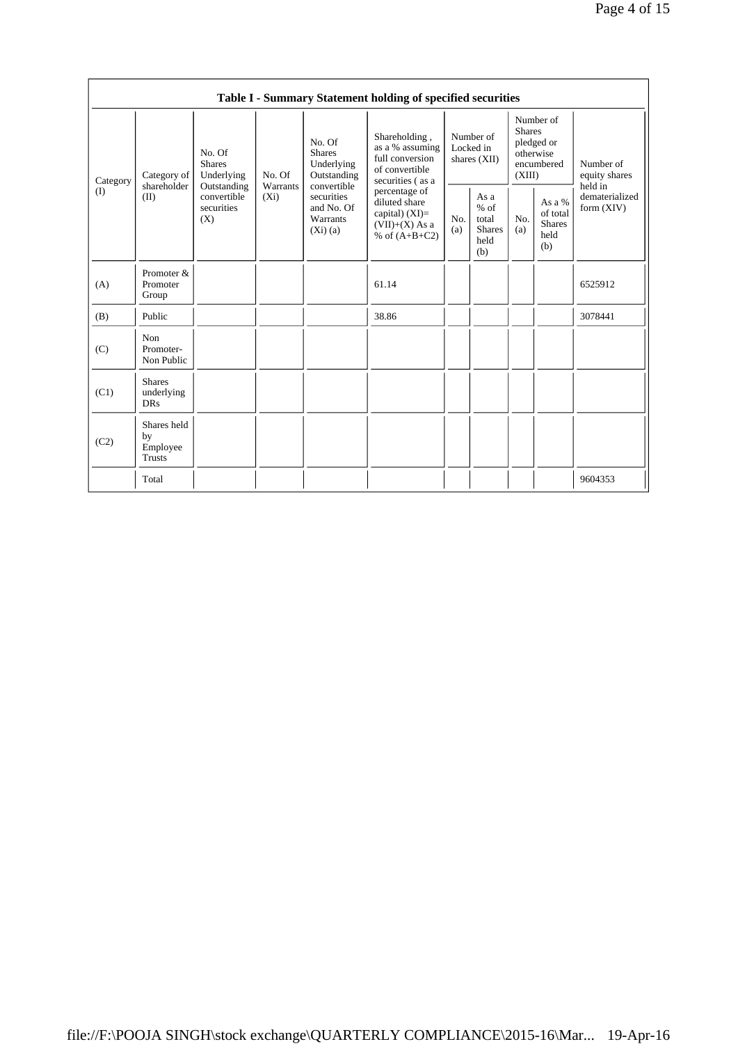|          | Table I - Summary Statement holding of specified securities |                                                 |                                                                                                                                                         |                                                                                           |                                                                                           |                                                         |            |                                                                               |                                |                                       |
|----------|-------------------------------------------------------------|-------------------------------------------------|---------------------------------------------------------------------------------------------------------------------------------------------------------|-------------------------------------------------------------------------------------------|-------------------------------------------------------------------------------------------|---------------------------------------------------------|------------|-------------------------------------------------------------------------------|--------------------------------|---------------------------------------|
| Category | Category of                                                 | No. Of<br><b>Shares</b><br>Underlying           | No. Of<br><b>Shares</b><br>Underlying<br>No. Of<br>Outstanding<br>convertible<br>Warrants<br>$(X_i)$<br>securities<br>and No. Of<br>Warrants<br>(Xi)(a) |                                                                                           | Shareholding,<br>as a % assuming<br>full conversion<br>of convertible<br>securities (as a | Number of<br>Locked in<br>shares $(XII)$                |            | Number of<br><b>Shares</b><br>pledged or<br>otherwise<br>encumbered<br>(XIII) |                                | Number of<br>equity shares<br>held in |
| (I)      | shareholder<br>(II)                                         | Outstanding<br>convertible<br>securities<br>(X) |                                                                                                                                                         | percentage of<br>diluted share<br>capital) $(XI)=$<br>$(VII)+(X)$ As a<br>% of $(A+B+C2)$ | No.<br>(a)                                                                                | As a<br>$%$ of<br>total<br><b>Shares</b><br>held<br>(b) | No.<br>(a) | As a %<br>of total<br><b>Shares</b><br>held<br>(b)                            | dematerialized<br>form $(XIV)$ |                                       |
| (A)      | Promoter &<br>Promoter<br>Group                             |                                                 |                                                                                                                                                         |                                                                                           | 61.14                                                                                     |                                                         |            |                                                                               |                                | 6525912                               |
| (B)      | Public                                                      |                                                 |                                                                                                                                                         |                                                                                           | 38.86                                                                                     |                                                         |            |                                                                               |                                | 3078441                               |
| (C)      | Non<br>Promoter-<br>Non Public                              |                                                 |                                                                                                                                                         |                                                                                           |                                                                                           |                                                         |            |                                                                               |                                |                                       |
| (C1)     | <b>Shares</b><br>underlying<br><b>DRs</b>                   |                                                 |                                                                                                                                                         |                                                                                           |                                                                                           |                                                         |            |                                                                               |                                |                                       |
| (C2)     | Shares held<br>by<br>Employee<br>Trusts                     |                                                 |                                                                                                                                                         |                                                                                           |                                                                                           |                                                         |            |                                                                               |                                |                                       |
|          | Total                                                       |                                                 |                                                                                                                                                         |                                                                                           |                                                                                           |                                                         |            |                                                                               |                                | 9604353                               |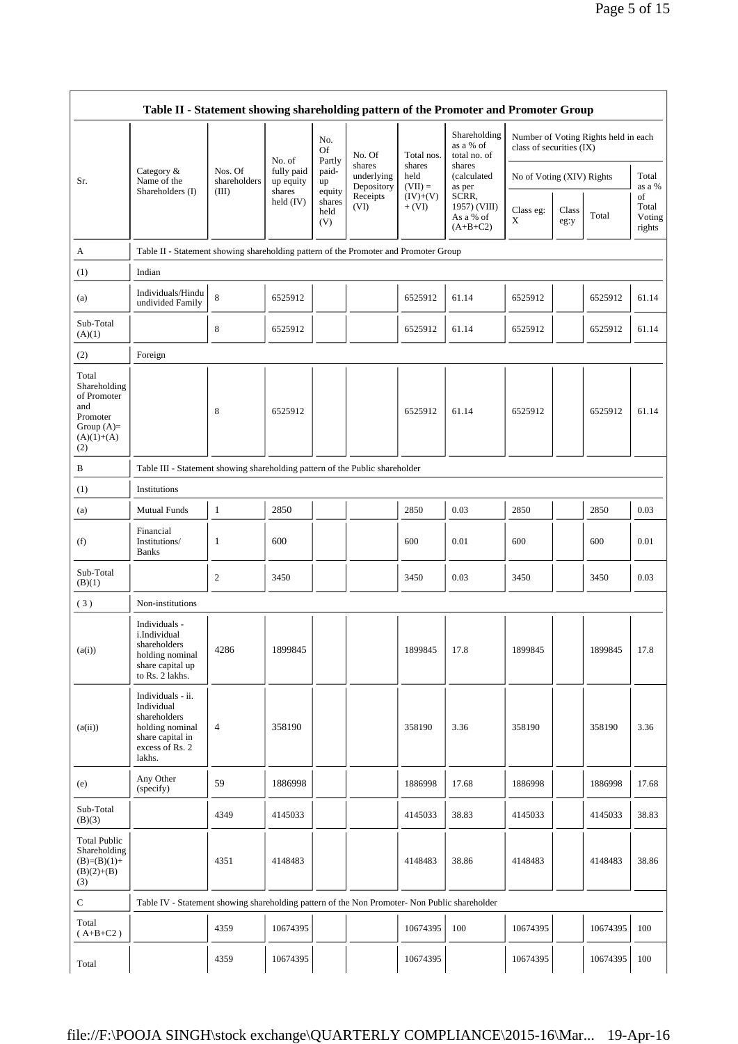|                                                                                                | Table II - Statement showing shareholding pattern of the Promoter and Promoter Group                                |                         |                         |                                 |                          |                        |                                                     |                                                                  |               |          |                                 |
|------------------------------------------------------------------------------------------------|---------------------------------------------------------------------------------------------------------------------|-------------------------|-------------------------|---------------------------------|--------------------------|------------------------|-----------------------------------------------------|------------------------------------------------------------------|---------------|----------|---------------------------------|
|                                                                                                |                                                                                                                     |                         | No. of                  | No.<br>Of<br>Partly             | No. Of<br>shares         | Total nos.<br>shares   | Shareholding<br>as a % of<br>total no. of<br>shares | Number of Voting Rights held in each<br>class of securities (IX) |               |          |                                 |
| Sr.                                                                                            | Category &<br>Name of the                                                                                           | Nos. Of<br>shareholders | fully paid<br>up equity | paid-<br>up                     | underlying<br>Depository | held<br>$(VII) =$      | (calculated<br>as per                               | No of Voting (XIV) Rights                                        |               |          | Total<br>as a %                 |
|                                                                                                | Shareholders (I)                                                                                                    | (III)                   | shares<br>held $(IV)$   | equity<br>shares<br>held<br>(V) | Receipts<br>(VI)         | $(IV)+(V)$<br>$+ (VI)$ | SCRR,<br>1957) (VIII)<br>As a % of<br>$(A+B+C2)$    | Class eg:<br>X                                                   | Class<br>eg:y | Total    | of<br>Total<br>Voting<br>rights |
| A                                                                                              | Table II - Statement showing shareholding pattern of the Promoter and Promoter Group                                |                         |                         |                                 |                          |                        |                                                     |                                                                  |               |          |                                 |
| (1)                                                                                            | Indian                                                                                                              |                         |                         |                                 |                          |                        |                                                     |                                                                  |               |          |                                 |
| (a)                                                                                            | Individuals/Hindu<br>undivided Family                                                                               | $\,$ 8 $\,$             | 6525912                 |                                 |                          | 6525912                | 61.14                                               | 6525912                                                          |               | 6525912  | 61.14                           |
| Sub-Total<br>(A)(1)                                                                            |                                                                                                                     | 8                       | 6525912                 |                                 |                          | 6525912                | 61.14                                               | 6525912                                                          |               | 6525912  | 61.14                           |
| (2)                                                                                            | Foreign                                                                                                             |                         |                         |                                 |                          |                        |                                                     |                                                                  |               |          |                                 |
| Total<br>Shareholding<br>of Promoter<br>and<br>Promoter<br>Group $(A)=$<br>$(A)(1)+(A)$<br>(2) |                                                                                                                     | 8                       | 6525912                 |                                 |                          | 6525912                | 61.14                                               | 6525912                                                          |               | 6525912  | 61.14                           |
| B                                                                                              | Table III - Statement showing shareholding pattern of the Public shareholder                                        |                         |                         |                                 |                          |                        |                                                     |                                                                  |               |          |                                 |
| (1)                                                                                            | Institutions                                                                                                        |                         |                         |                                 |                          |                        |                                                     |                                                                  |               |          |                                 |
| (a)                                                                                            | <b>Mutual Funds</b>                                                                                                 | $\mathbf{1}$            | 2850                    |                                 |                          | 2850                   | 0.03                                                | 2850                                                             |               | 2850     | 0.03                            |
| (f)                                                                                            | Financial<br>Institutions/<br><b>Banks</b>                                                                          | 1                       | 600                     |                                 |                          | 600                    | 0.01                                                | 600                                                              |               | 600      | 0.01                            |
| Sub-Total<br>(B)(1)                                                                            |                                                                                                                     | 2                       | 3450                    |                                 |                          | 3450                   | 0.03                                                | 3450                                                             |               | 3450     | 0.03                            |
| (3)                                                                                            | Non-institutions                                                                                                    |                         |                         |                                 |                          |                        |                                                     |                                                                  |               |          |                                 |
| (a(i))                                                                                         | Individuals -<br>i.Individual<br>shareholders<br>holding nominal<br>share capital up<br>to Rs. 2 lakhs.             | 4286                    | 1899845                 |                                 |                          | 1899845                | 17.8                                                | 1899845                                                          |               | 1899845  | 17.8                            |
| (a(ii))                                                                                        | Individuals - ii.<br>Individual<br>shareholders<br>holding nominal<br>share capital in<br>excess of Rs. 2<br>lakhs. | 4                       | 358190                  |                                 |                          | 358190                 | 3.36                                                | 358190                                                           |               | 358190   | 3.36                            |
| (e)                                                                                            | Any Other<br>(specify)                                                                                              | 59                      | 1886998                 |                                 |                          | 1886998                | 17.68                                               | 1886998                                                          |               | 1886998  | 17.68                           |
| Sub-Total<br>(B)(3)                                                                            |                                                                                                                     | 4349                    | 4145033                 |                                 |                          | 4145033                | 38.83                                               | 4145033                                                          |               | 4145033  | 38.83                           |
| <b>Total Public</b><br>Shareholding<br>$(B)=(B)(1)+$<br>$(B)(2)+(B)$<br>(3)                    |                                                                                                                     | 4351                    | 4148483                 |                                 |                          | 4148483                | 38.86                                               | 4148483                                                          |               | 4148483  | 38.86                           |
| ${\bf C}$                                                                                      | Table IV - Statement showing shareholding pattern of the Non Promoter- Non Public shareholder                       |                         |                         |                                 |                          |                        |                                                     |                                                                  |               |          |                                 |
| Total<br>$(A+B+C2)$                                                                            |                                                                                                                     | 4359                    | 10674395                |                                 |                          | 10674395               | 100                                                 | 10674395                                                         |               | 10674395 | 100                             |
| Total                                                                                          |                                                                                                                     | 4359                    | 10674395                |                                 |                          | 10674395               |                                                     | 10674395                                                         |               | 10674395 | 100                             |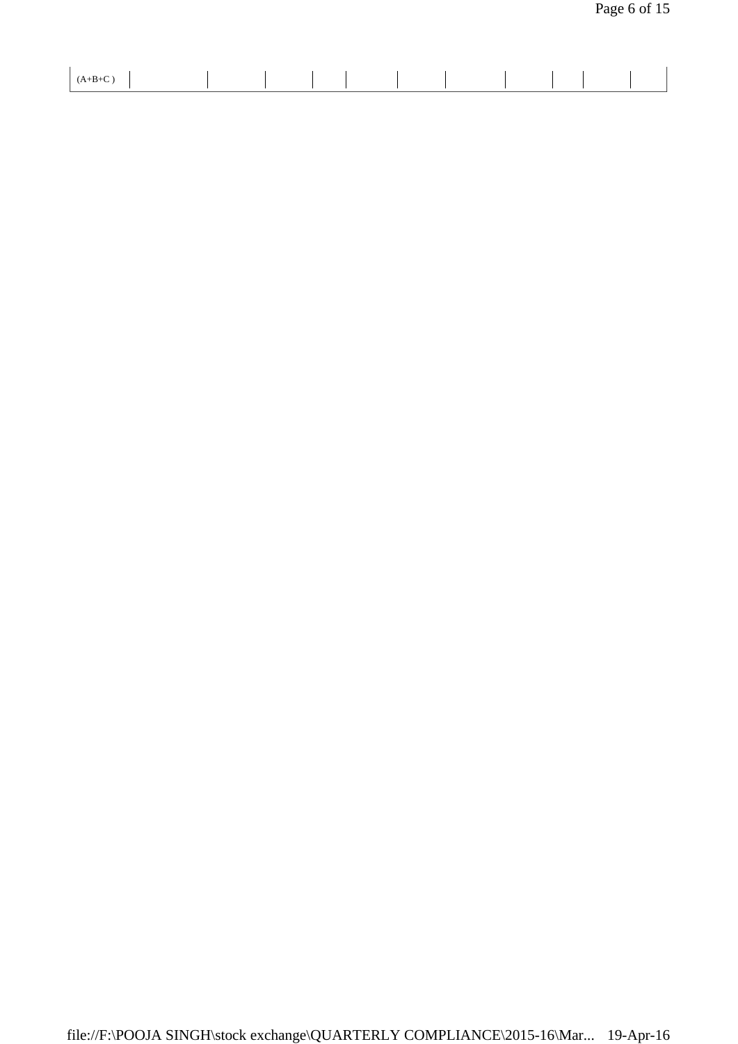| -<br>$\cdot$ D $\cdot$ C $\cdot$ |  |  |  |  |
|----------------------------------|--|--|--|--|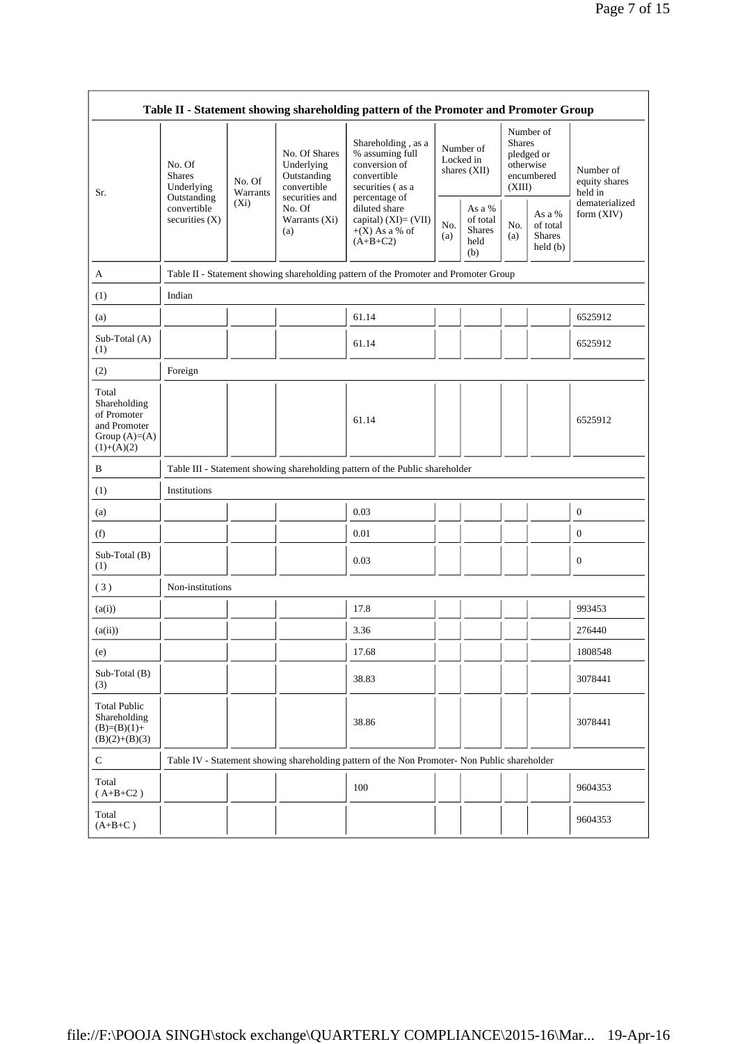| Table II - Statement showing shareholding pattern of the Promoter and Promoter Group                                            |                                                                                      |                                                                            |                                                                             |                                                                                                            |                                          |                                                |                                                                               |  |                                                                       |
|---------------------------------------------------------------------------------------------------------------------------------|--------------------------------------------------------------------------------------|----------------------------------------------------------------------------|-----------------------------------------------------------------------------|------------------------------------------------------------------------------------------------------------|------------------------------------------|------------------------------------------------|-------------------------------------------------------------------------------|--|-----------------------------------------------------------------------|
| No. Of<br><b>Shares</b><br>No. Of<br>Underlying<br>Warrants<br>Sr.<br>Outstanding<br>$(X_i)$<br>convertible<br>securities $(X)$ |                                                                                      |                                                                            | No. Of Shares<br>Underlying<br>Outstanding<br>convertible<br>securities and | Shareholding, as a<br>% assuming full<br>conversion of<br>convertible<br>securities (as a<br>percentage of | Number of<br>Locked in<br>shares $(XII)$ |                                                | Number of<br><b>Shares</b><br>pledged or<br>otherwise<br>encumbered<br>(XIII) |  | Number of<br>equity shares<br>held in<br>dematerialized<br>form (XIV) |
|                                                                                                                                 | No. Of<br>Warrants (Xi)<br>(a)                                                       | diluted share<br>capital) $(XI) = (VII)$<br>$+(X)$ As a % of<br>$(A+B+C2)$ | No.<br>(a)                                                                  | As a %<br>of total<br><b>Shares</b><br>held<br>(b)                                                         | No.<br>(a)                               | As a %<br>of total<br><b>Shares</b><br>held(b) |                                                                               |  |                                                                       |
| A                                                                                                                               | Table II - Statement showing shareholding pattern of the Promoter and Promoter Group |                                                                            |                                                                             |                                                                                                            |                                          |                                                |                                                                               |  |                                                                       |
| (1)                                                                                                                             | Indian                                                                               |                                                                            |                                                                             |                                                                                                            |                                          |                                                |                                                                               |  |                                                                       |
| (a)                                                                                                                             |                                                                                      |                                                                            |                                                                             | 61.14                                                                                                      |                                          |                                                |                                                                               |  | 6525912                                                               |
| Sub-Total (A)<br>(1)                                                                                                            |                                                                                      |                                                                            |                                                                             | 61.14                                                                                                      |                                          |                                                |                                                                               |  | 6525912                                                               |
| (2)                                                                                                                             | Foreign                                                                              |                                                                            |                                                                             |                                                                                                            |                                          |                                                |                                                                               |  |                                                                       |
| Total<br>Shareholding<br>of Promoter<br>and Promoter<br>Group $(A)=(A)$<br>$(1)+(A)(2)$                                         |                                                                                      |                                                                            |                                                                             | 61.14                                                                                                      |                                          |                                                |                                                                               |  | 6525912                                                               |
| B                                                                                                                               |                                                                                      |                                                                            |                                                                             | Table III - Statement showing shareholding pattern of the Public shareholder                               |                                          |                                                |                                                                               |  |                                                                       |
| (1)                                                                                                                             | Institutions                                                                         |                                                                            |                                                                             |                                                                                                            |                                          |                                                |                                                                               |  |                                                                       |
| (a)                                                                                                                             |                                                                                      |                                                                            |                                                                             | 0.03                                                                                                       |                                          |                                                |                                                                               |  | $\mathbf{0}$                                                          |
| (f)                                                                                                                             |                                                                                      |                                                                            |                                                                             | 0.01                                                                                                       |                                          |                                                |                                                                               |  | $\mathbf{0}$                                                          |
| Sub-Total (B)<br>(1)                                                                                                            |                                                                                      |                                                                            |                                                                             | 0.03                                                                                                       |                                          |                                                |                                                                               |  | $\mathbf{0}$                                                          |
| (3)                                                                                                                             | Non-institutions                                                                     |                                                                            |                                                                             |                                                                                                            |                                          |                                                |                                                                               |  |                                                                       |
| (a(i))                                                                                                                          |                                                                                      |                                                                            |                                                                             | 17.8                                                                                                       |                                          |                                                |                                                                               |  | 993453                                                                |
| (a(ii))                                                                                                                         |                                                                                      |                                                                            |                                                                             | 3.36                                                                                                       |                                          |                                                |                                                                               |  | 276440                                                                |
| (e)                                                                                                                             |                                                                                      |                                                                            |                                                                             | 17.68                                                                                                      |                                          |                                                |                                                                               |  | 1808548                                                               |
| Sub-Total (B)<br>(3)                                                                                                            |                                                                                      |                                                                            |                                                                             | 38.83                                                                                                      |                                          |                                                |                                                                               |  | 3078441                                                               |
| <b>Total Public</b><br>Shareholding<br>$(B)=(B)(1)+$<br>$(B)(2)+(B)(3)$                                                         |                                                                                      |                                                                            |                                                                             | 38.86                                                                                                      |                                          |                                                |                                                                               |  | 3078441                                                               |
| $\mathbf C$                                                                                                                     |                                                                                      |                                                                            |                                                                             | Table IV - Statement showing shareholding pattern of the Non Promoter- Non Public shareholder              |                                          |                                                |                                                                               |  |                                                                       |
| Total<br>$($ A+B+C2 $)$                                                                                                         |                                                                                      |                                                                            |                                                                             | 100                                                                                                        |                                          |                                                |                                                                               |  | 9604353                                                               |
| Total<br>$(A+B+C)$                                                                                                              |                                                                                      |                                                                            |                                                                             |                                                                                                            |                                          |                                                |                                                                               |  | 9604353                                                               |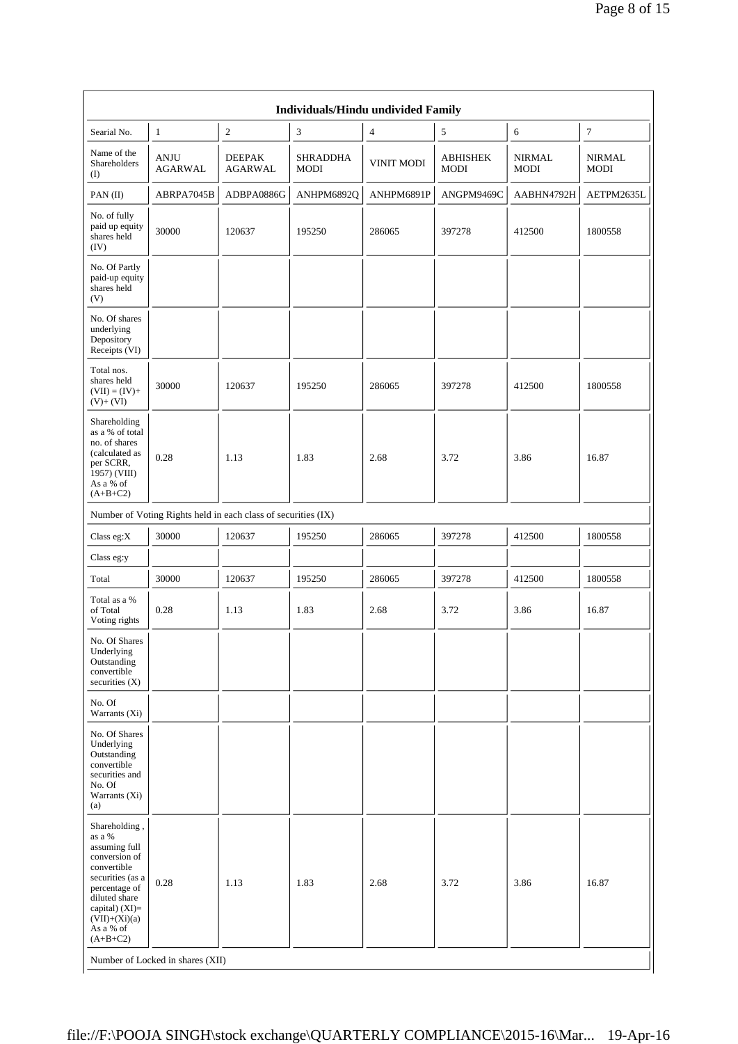| Individuals/Hindu undivided Family                            |                                 |                                  |                   |                                |                       |                              |  |  |
|---------------------------------------------------------------|---------------------------------|----------------------------------|-------------------|--------------------------------|-----------------------|------------------------------|--|--|
| $\mathbf{1}$                                                  | 2                               | 3                                | $\overline{4}$    | 5                              | 6                     | $\overline{7}$               |  |  |
| <b>ANJU</b><br><b>AGARWAL</b>                                 | <b>DEEPAK</b><br><b>AGARWAL</b> | <b>SHRADDHA</b><br>MODI          | <b>VINIT MODI</b> | <b>ABHISHEK</b><br><b>MODI</b> | <b>NIRMAL</b><br>MODI | <b>NIRMAL</b><br><b>MODI</b> |  |  |
| ABRPA7045B                                                    | ADBPA0886G                      | ANHPM6892Q                       | ANHPM6891P        | ANGPM9469C                     | AABHN4792H            | AETPM2635L                   |  |  |
| 30000                                                         | 120637                          | 195250                           | 286065            | 397278                         | 412500                | 1800558                      |  |  |
|                                                               |                                 |                                  |                   |                                |                       |                              |  |  |
|                                                               |                                 |                                  |                   |                                |                       |                              |  |  |
| 30000                                                         | 120637                          | 195250                           | 286065            | 397278                         | 412500                | 1800558                      |  |  |
| 0.28                                                          | 1.13                            | 1.83                             | 2.68              | 3.72                           | 3.86                  | 16.87                        |  |  |
| Number of Voting Rights held in each class of securities (IX) |                                 |                                  |                   |                                |                       |                              |  |  |
| 30000                                                         | 120637                          | 195250                           | 286065            | 397278                         | 412500                | 1800558                      |  |  |
|                                                               |                                 |                                  |                   |                                |                       |                              |  |  |
| 30000                                                         | 120637                          | 195250                           | 286065            | 397278                         | 412500                | 1800558                      |  |  |
| 0.28                                                          | 1.13                            | 1.83                             | 2.68              | 3.72                           | 3.86                  | 16.87                        |  |  |
|                                                               |                                 |                                  |                   |                                |                       |                              |  |  |
|                                                               |                                 |                                  |                   |                                |                       |                              |  |  |
|                                                               |                                 |                                  |                   |                                |                       |                              |  |  |
| 0.28                                                          | 1.13                            | 1.83                             | 2.68              | 3.72                           | 3.86                  | 16.87                        |  |  |
| securities (as a                                              |                                 | Number of Locked in shares (XII) |                   |                                |                       |                              |  |  |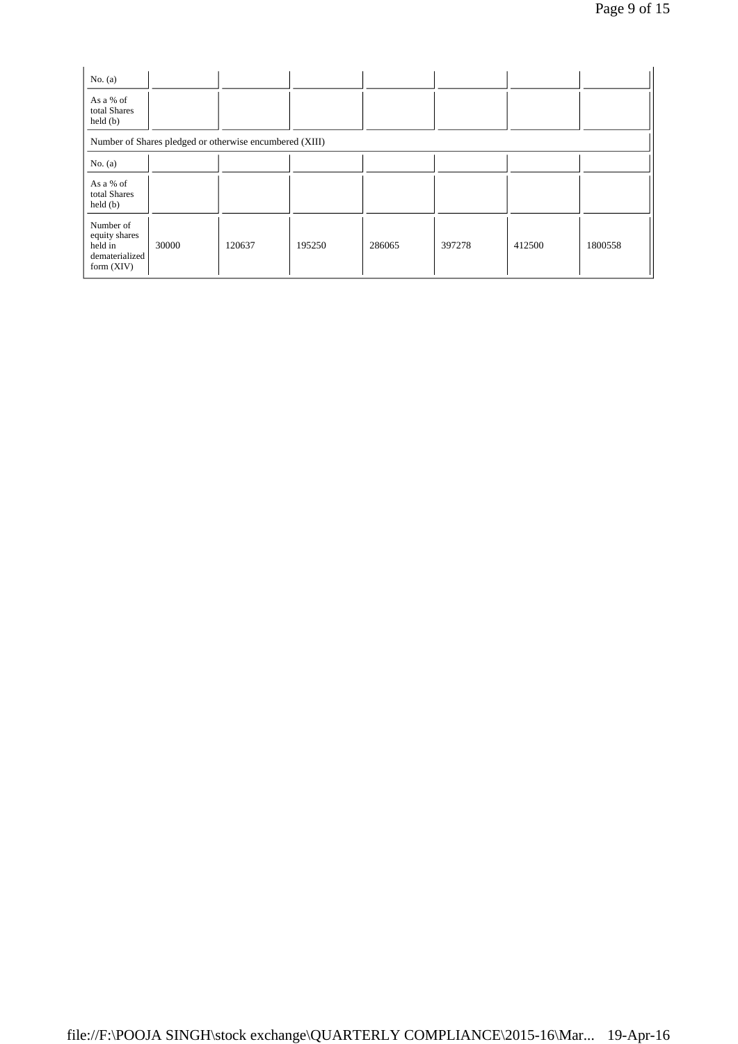| No. $(a)$<br>As a % of<br>total Shares<br>$\text{held}(\text{b})$     |       |        |        |        |        |        |         |  |
|-----------------------------------------------------------------------|-------|--------|--------|--------|--------|--------|---------|--|
| Number of Shares pledged or otherwise encumbered (XIII)               |       |        |        |        |        |        |         |  |
| No. $(a)$                                                             |       |        |        |        |        |        |         |  |
| As a % of<br>total Shares<br>$\text{held}(\text{b})$                  |       |        |        |        |        |        |         |  |
| Number of<br>equity shares<br>held in<br>dematerialized<br>form (XIV) | 30000 | 120637 | 195250 | 286065 | 397278 | 412500 | 1800558 |  |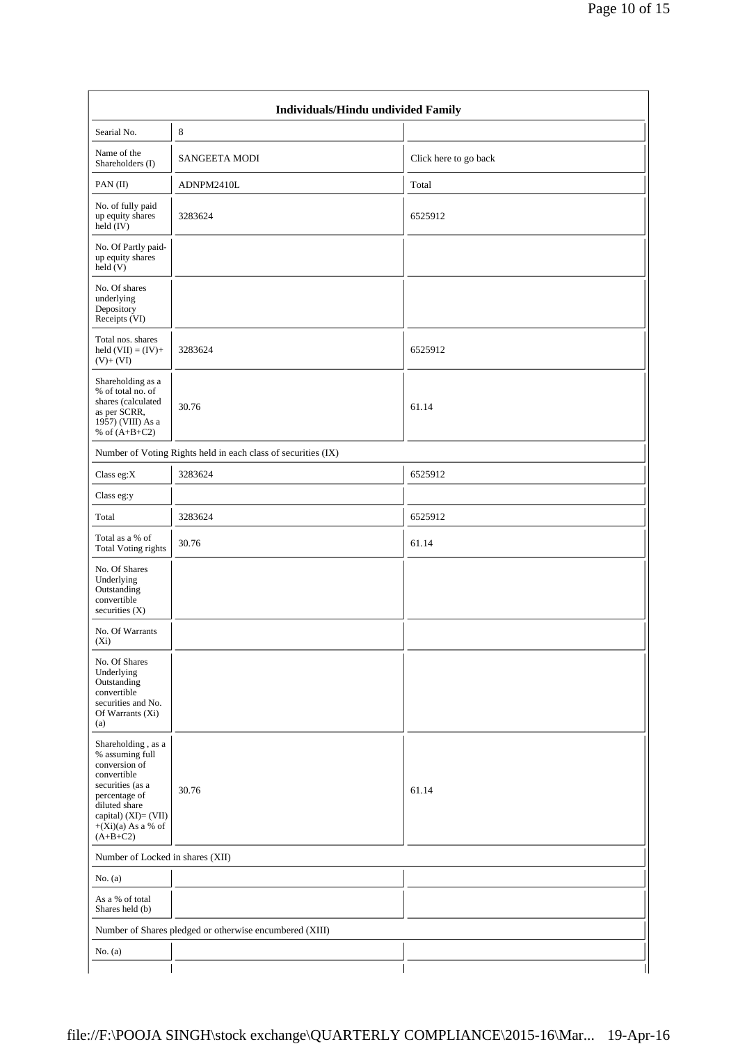| Individuals/Hindu undivided Family                                                                                                                                                           |                                                               |                       |  |  |  |  |  |  |
|----------------------------------------------------------------------------------------------------------------------------------------------------------------------------------------------|---------------------------------------------------------------|-----------------------|--|--|--|--|--|--|
| Searial No.                                                                                                                                                                                  | 8                                                             |                       |  |  |  |  |  |  |
| Name of the<br>Shareholders (I)                                                                                                                                                              | <b>SANGEETA MODI</b>                                          | Click here to go back |  |  |  |  |  |  |
| PAN(II)                                                                                                                                                                                      | ADNPM2410L                                                    | Total                 |  |  |  |  |  |  |
| No. of fully paid<br>up equity shares<br>held $(V)$                                                                                                                                          | 3283624                                                       | 6525912               |  |  |  |  |  |  |
| No. Of Partly paid-<br>up equity shares<br>held(V)                                                                                                                                           |                                                               |                       |  |  |  |  |  |  |
| No. Of shares<br>underlying<br>Depository<br>Receipts (VI)                                                                                                                                   |                                                               |                       |  |  |  |  |  |  |
| Total nos. shares<br>held $(VII) = (IV) +$<br>$(V)+(VI)$                                                                                                                                     | 3283624                                                       | 6525912               |  |  |  |  |  |  |
| Shareholding as a<br>% of total no. of<br>shares (calculated<br>as per SCRR,<br>1957) (VIII) As a<br>% of $(A+B+C2)$                                                                         | 30.76                                                         | 61.14                 |  |  |  |  |  |  |
|                                                                                                                                                                                              | Number of Voting Rights held in each class of securities (IX) |                       |  |  |  |  |  |  |
| Class eg:X                                                                                                                                                                                   | 3283624                                                       | 6525912               |  |  |  |  |  |  |
| Class eg:y                                                                                                                                                                                   |                                                               |                       |  |  |  |  |  |  |
| Total                                                                                                                                                                                        | 3283624                                                       | 6525912               |  |  |  |  |  |  |
| Total as a % of<br><b>Total Voting rights</b>                                                                                                                                                | 30.76                                                         | 61.14                 |  |  |  |  |  |  |
| No. Of Shares<br>Underlying<br>Outstanding<br>convertible<br>securities $(X)$                                                                                                                |                                                               |                       |  |  |  |  |  |  |
| No. Of Warrants<br>$(X_i)$                                                                                                                                                                   |                                                               |                       |  |  |  |  |  |  |
| No. Of Shares<br>Underlying<br>Outstanding<br>convertible<br>securities and No.<br>Of Warrants (Xi)<br>(a)                                                                                   |                                                               |                       |  |  |  |  |  |  |
| Shareholding, as a<br>% assuming full<br>conversion of<br>convertible<br>securities (as a<br>percentage of<br>diluted share<br>capital) $(XI) = (VII)$<br>$+(Xi)(a)$ As a % of<br>$(A+B+C2)$ | 30.76                                                         | 61.14                 |  |  |  |  |  |  |
| Number of Locked in shares (XII)                                                                                                                                                             |                                                               |                       |  |  |  |  |  |  |
| No. $(a)$                                                                                                                                                                                    |                                                               |                       |  |  |  |  |  |  |
| As a % of total<br>Shares held (b)                                                                                                                                                           |                                                               |                       |  |  |  |  |  |  |
|                                                                                                                                                                                              | Number of Shares pledged or otherwise encumbered (XIII)       |                       |  |  |  |  |  |  |
| No. $(a)$                                                                                                                                                                                    |                                                               |                       |  |  |  |  |  |  |
|                                                                                                                                                                                              |                                                               |                       |  |  |  |  |  |  |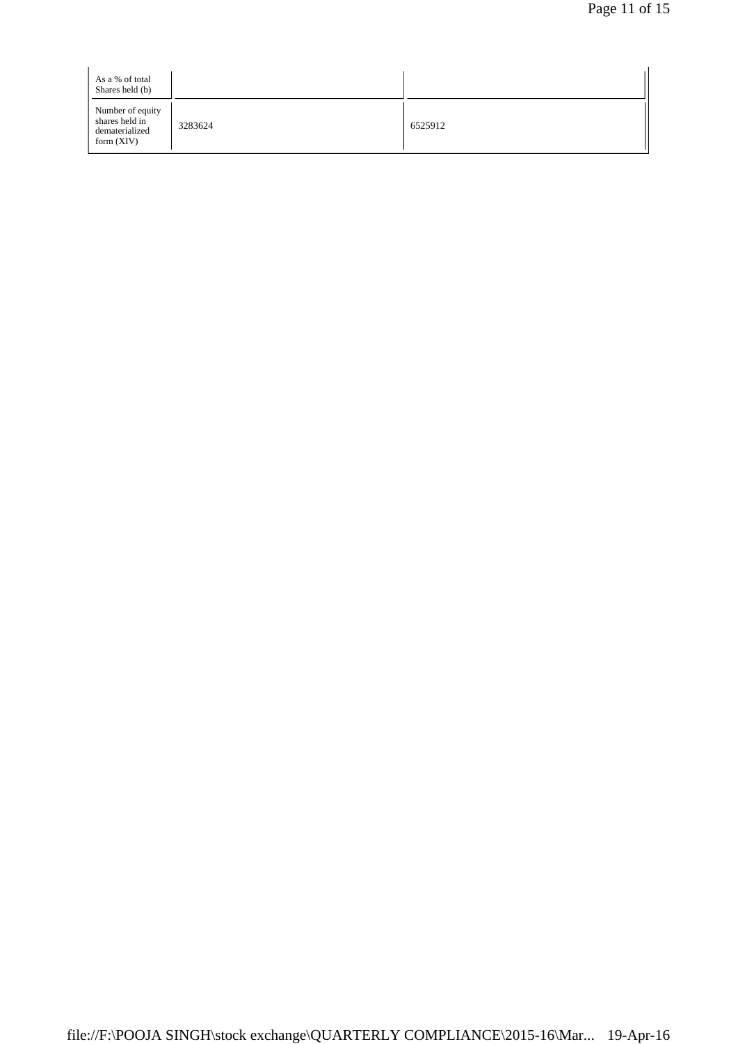| As a % of total<br>Shares held (b)                                   |         |         |
|----------------------------------------------------------------------|---------|---------|
| Number of equity<br>shares held in<br>dematerialized<br>form $(XIV)$ | 3283624 | 6525912 |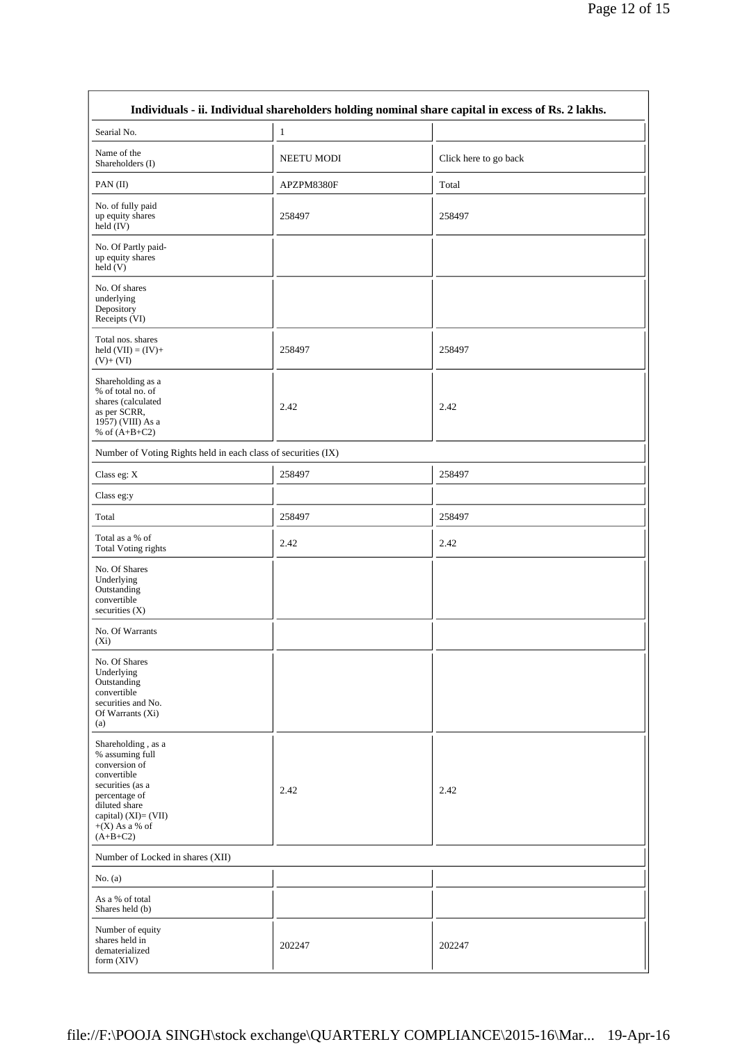| Individuals - ii. Individual shareholders holding nominal share capital in excess of Rs. 2 lakhs.                                                                                        |                   |                       |  |  |  |  |  |  |  |
|------------------------------------------------------------------------------------------------------------------------------------------------------------------------------------------|-------------------|-----------------------|--|--|--|--|--|--|--|
| Searial No.                                                                                                                                                                              | $\mathbf{1}$      |                       |  |  |  |  |  |  |  |
| Name of the<br>Shareholders (I)                                                                                                                                                          | <b>NEETU MODI</b> | Click here to go back |  |  |  |  |  |  |  |
| PAN(II)                                                                                                                                                                                  | APZPM8380F        | Total                 |  |  |  |  |  |  |  |
| No. of fully paid<br>up equity shares<br>held (IV)                                                                                                                                       | 258497            | 258497                |  |  |  |  |  |  |  |
| No. Of Partly paid-<br>up equity shares<br>$\text{held}$ (V)                                                                                                                             |                   |                       |  |  |  |  |  |  |  |
| No. Of shares<br>underlying<br>Depository<br>Receipts (VI)                                                                                                                               |                   |                       |  |  |  |  |  |  |  |
| Total nos. shares<br>held $(VII) = (IV) +$<br>$(V)+(VI)$                                                                                                                                 | 258497            | 258497                |  |  |  |  |  |  |  |
| Shareholding as a<br>% of total no. of<br>shares (calculated<br>as per SCRR,<br>1957) (VIII) As a<br>% of $(A+B+C2)$                                                                     | 2.42              | 2.42                  |  |  |  |  |  |  |  |
| Number of Voting Rights held in each class of securities (IX)                                                                                                                            |                   |                       |  |  |  |  |  |  |  |
| Class eg: X                                                                                                                                                                              | 258497            | 258497                |  |  |  |  |  |  |  |
| Class eg:y                                                                                                                                                                               |                   |                       |  |  |  |  |  |  |  |
| Total                                                                                                                                                                                    | 258497            | 258497                |  |  |  |  |  |  |  |
| Total as a % of<br>Total Voting rights                                                                                                                                                   | 2.42              | 2.42                  |  |  |  |  |  |  |  |
| No. Of Shares<br>Underlying<br>Outstanding<br>convertible<br>securities (X)                                                                                                              |                   |                       |  |  |  |  |  |  |  |
| No. Of Warrants<br>$(X_i)$                                                                                                                                                               |                   |                       |  |  |  |  |  |  |  |
| No. Of Shares<br>Underlying<br>Outstanding<br>convertible<br>securities and No.<br>Of Warrants (Xi)<br>(a)                                                                               |                   |                       |  |  |  |  |  |  |  |
| Shareholding, as a<br>% assuming full<br>conversion of<br>convertible<br>securities (as a<br>percentage of<br>diluted share<br>capital) $(XI) = (VII)$<br>$+(X)$ As a % of<br>$(A+B+C2)$ | 2.42              | 2.42                  |  |  |  |  |  |  |  |
| Number of Locked in shares (XII)                                                                                                                                                         |                   |                       |  |  |  |  |  |  |  |
| No. $(a)$                                                                                                                                                                                |                   |                       |  |  |  |  |  |  |  |
| As a % of total<br>Shares held (b)                                                                                                                                                       |                   |                       |  |  |  |  |  |  |  |
| Number of equity<br>shares held in<br>dematerialized<br>form (XIV)                                                                                                                       | 202247            | 202247                |  |  |  |  |  |  |  |

 $\mathbf{r}$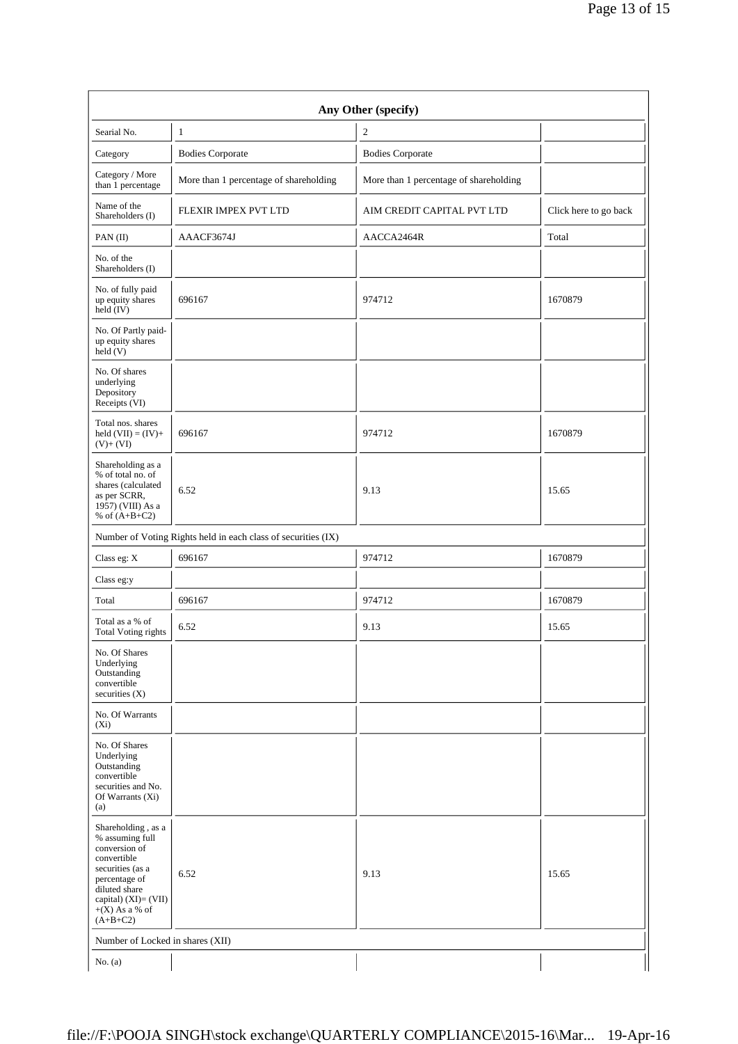| Any Other (specify)                                                                                                                                                                      |                                        |                                        |                       |  |
|------------------------------------------------------------------------------------------------------------------------------------------------------------------------------------------|----------------------------------------|----------------------------------------|-----------------------|--|
| Searial No.                                                                                                                                                                              | $\mathbf{1}$                           | $\mathfrak{2}$                         |                       |  |
| Category                                                                                                                                                                                 | <b>Bodies Corporate</b>                | <b>Bodies Corporate</b>                |                       |  |
| Category / More<br>than 1 percentage                                                                                                                                                     | More than 1 percentage of shareholding | More than 1 percentage of shareholding |                       |  |
| Name of the<br>Shareholders (I)                                                                                                                                                          | FLEXIR IMPEX PVT LTD                   | AIM CREDIT CAPITAL PVT LTD             | Click here to go back |  |
| PAN(II)                                                                                                                                                                                  | AAACF3674J                             | AACCA2464R                             | Total                 |  |
| No. of the<br>Shareholders (I)                                                                                                                                                           |                                        |                                        |                       |  |
| No. of fully paid<br>up equity shares<br>held (IV)                                                                                                                                       | 696167                                 | 974712                                 | 1670879               |  |
| No. Of Partly paid-<br>up equity shares<br>held(V)                                                                                                                                       |                                        |                                        |                       |  |
| No. Of shares<br>underlying<br>Depository<br>Receipts (VI)                                                                                                                               |                                        |                                        |                       |  |
| Total nos. shares<br>held $(VII) = (IV) +$<br>$(V)+(VI)$                                                                                                                                 | 696167                                 | 974712                                 | 1670879               |  |
| Shareholding as a<br>% of total no. of<br>shares (calculated<br>as per SCRR,<br>1957) (VIII) As a<br>% of $(A+B+C2)$                                                                     | 6.52                                   | 9.13                                   | 15.65                 |  |
| Number of Voting Rights held in each class of securities (IX)                                                                                                                            |                                        |                                        |                       |  |
| Class eg: X                                                                                                                                                                              | 696167                                 | 974712                                 | 1670879               |  |
| Class eg:y                                                                                                                                                                               |                                        |                                        |                       |  |
| Total                                                                                                                                                                                    | 696167                                 | 974712                                 | 1670879               |  |
| Total as a % of<br>Total Voting rights                                                                                                                                                   | 6.52                                   | 9.13                                   | 15.65                 |  |
| No. Of Shares<br>Underlying<br>Outstanding<br>convertible<br>securities $(X)$                                                                                                            |                                        |                                        |                       |  |
| No. Of Warrants<br>$(X_i)$                                                                                                                                                               |                                        |                                        |                       |  |
| No. Of Shares<br>Underlying<br>Outstanding<br>convertible<br>securities and No.<br>Of Warrants (Xi)<br>(a)                                                                               |                                        |                                        |                       |  |
| Shareholding, as a<br>% assuming full<br>conversion of<br>convertible<br>securities (as a<br>percentage of<br>diluted share<br>capital) $(XI) = (VII)$<br>$+(X)$ As a % of<br>$(A+B+C2)$ | 6.52                                   | 9.13                                   | 15.65                 |  |
| Number of Locked in shares (XII)                                                                                                                                                         |                                        |                                        |                       |  |
| No. $(a)$                                                                                                                                                                                |                                        |                                        |                       |  |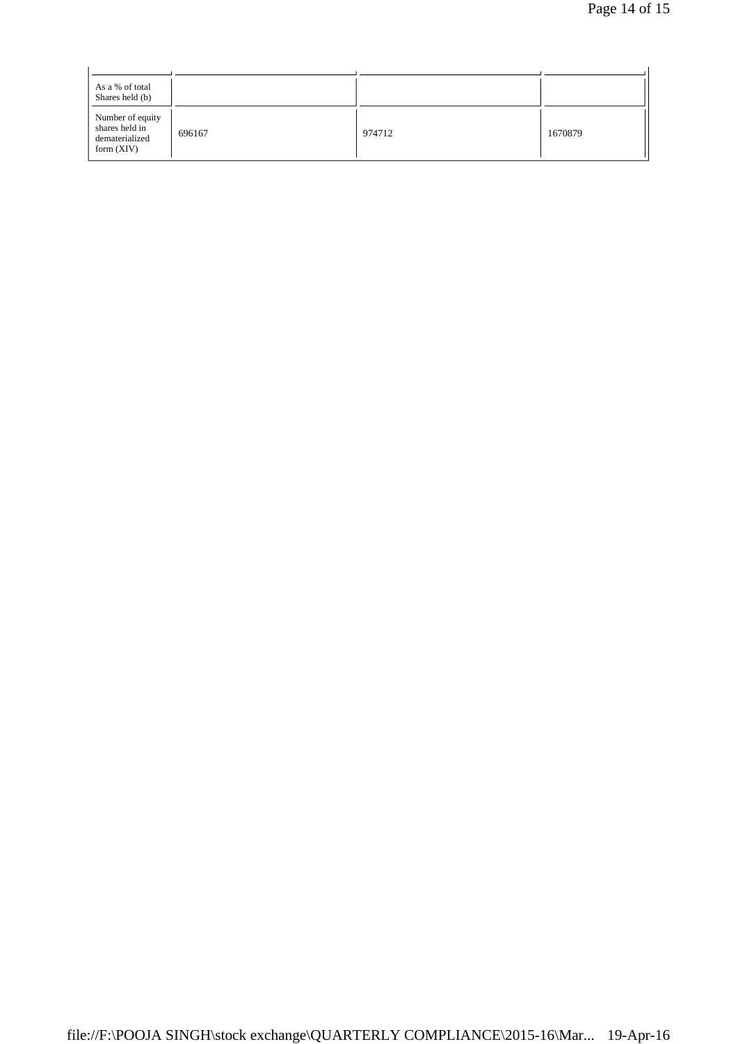| As a % of total<br>Shares held (b)                                   |        |        |         |
|----------------------------------------------------------------------|--------|--------|---------|
| Number of equity<br>shares held in<br>dematerialized<br>form $(XIV)$ | 696167 | 974712 | 1670879 |